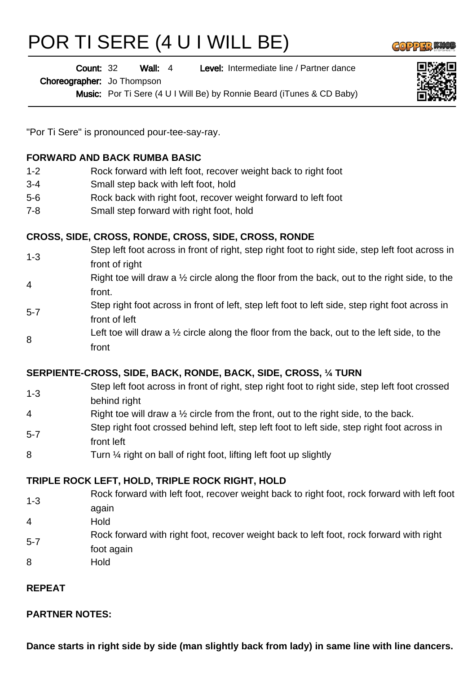# POR TI SERE (4 U I WILL BE)

Wall: 4 Level: Intermediate line / Partner dance Count: 32

Choreographer: Jo Thompson

Music: Por Ti Sere (4 U I Will Be) by Ronnie Beard (iTunes & CD Baby)



**GOPPERM** 

"Por Ti Sere" is pronounced pour-tee-say-ray.

#### **FORWARD AND BACK RUMBA BASIC**

- 1-2 Rock forward with left foot, recover weight back to right foot
- 3-4 Small step back with left foot, hold
- 5-6 Rock back with right foot, recover weight forward to left foot
- 7-8 Small step forward with right foot, hold

#### **CROSS, SIDE, CROSS, RONDE, CROSS, SIDE, CROSS, RONDE**

- 1-3 Step left foot across in front of right, step right foot to right side, step left foot across in front of right
- 4 Right toe will draw a  $\frac{1}{2}$  circle along the floor from the back, out to the right side, to the front.
- 5-7 Step right foot across in front of left, step left foot to left side, step right foot across in front of left
- 8 Left toe will draw a  $\frac{1}{2}$  circle along the floor from the back, out to the left side, to the front

#### **SERPIENTE-CROSS, SIDE, BACK, RONDE, BACK, SIDE, CROSS, ¼ TURN**

- 1-3 Step left foot across in front of right, step right foot to right side, step left foot crossed behind right
- 4 Right toe will draw a ½ circle from the front, out to the right side, to the back.
- 5-7 Step right foot crossed behind left, step left foot to left side, step right foot across in front left
- 8 Turn 1/4 right on ball of right foot, lifting left foot up slightly

#### **TRIPLE ROCK LEFT, HOLD, TRIPLE ROCK RIGHT, HOLD**

- 1-3 Rock forward with left foot, recover weight back to right foot, rock forward with left foot again
- 4 Hold
- 5-7 Rock forward with right foot, recover weight back to left foot, rock forward with right foot again
- 8 Hold

### **REPEAT**

## **PARTNER NOTES:**

**Dance starts in right side by side (man slightly back from lady) in same line with line dancers.**